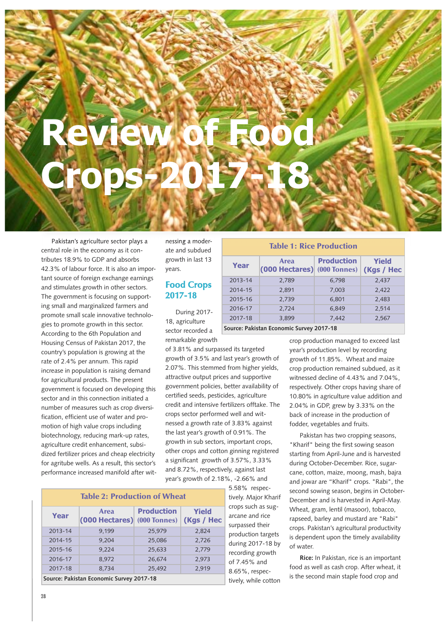## **Review of Food Crops-2017-18**

Pakistan's agriculture sector plays a central role in the economy as it contributes 18.9% to GDP and absorbs 42.3% of labour force. It is also an important source of foreign exchange earnings and stimulates growth in other sectors. The government is focusing on supporting small and marginalized farmers and promote small scale innovative technologies to promote growth in this sector. According to the 6th Population and Housing Census of Pakistan 2017, the country's population is growing at the rate of 2.4% per annum. This rapid increase in population is raising demand for agricultural products. The present government is focused on developing this sector and in this connection initiated a number of measures such as crop diversification, efficient use of water and promotion of high value crops including biotechnology, reducing mark-up rates, agriculture credit enhancement, subsidized fertilizer prices and cheap electricity for agritube wells. As a result, this sector's performance increased manifold after wit-

nessing a moderate and subdued growth in last 13 years.

## **Food Crops 2017-18**

During 2017- 18, agriculture sector recorded a remarkable growth

of 3.81% and surpassed its targeted growth of 3.5% and last year's growth of 2.07%. This stemmed from higher yields, attractive output prices and supportive government policies, better availability of certified seeds, pesticides, agriculture credit and intensive fertilizers offtake. The crops sector performed well and witnessed a growth rate of 3.83% against the last year's growth of 0.91%. The growth in sub sectors, important crops, other crops and cotton ginning registered a significant growth of 3.57%, 3.33% and 8.72%, respectively, against last year's growth of 2.18%, -2.66% and

| <b>Table 2: Production of Wheat</b>      |                                 |                                          |                            |  |
|------------------------------------------|---------------------------------|------------------------------------------|----------------------------|--|
| Year                                     | <b>Area</b><br>$(000$ Hectares) | <b>Production</b><br><b>(000 Tonnes)</b> | <b>Yield</b><br>(Kgs / Hec |  |
| 2013-14                                  | 9,199                           | 25,979                                   | 2,824                      |  |
| 2014-15                                  | 9.204                           | 25,086                                   | 2,726                      |  |
| $2015 - 16$                              | 9,224                           | 25,633                                   | 2,779                      |  |
| 2016-17                                  | 8.972                           | 26,674                                   | 2,973                      |  |
| 2017-18                                  | 8,734                           | 25,492                                   | 2,919                      |  |
| Source: Pakistan Economic Survey 2017-18 |                                 |                                          |                            |  |

5.58% respectively. Major Kharif crops such as sugarcane and rice surpassed their production targets during 2017-18 by recording growth of 7.45% and 8.65%, respectively, while cotton

## **Table 1: Rice Production**

| Year                                    | Area<br>(000 Hectares) (000 Tonnes) | <b>Production</b> | Yield<br>(Kgs / Hec |  |
|-----------------------------------------|-------------------------------------|-------------------|---------------------|--|
| 2013-14                                 | 2.789                               | 6,798             | 2,437               |  |
| 2014-15                                 | 2.891                               | 7.003             | 2.422               |  |
| 2015-16                                 | 2.739                               | 6.801             | 2,483               |  |
| 2016-17                                 | 2.724                               | 6.849             | 2.514               |  |
| 2017-18                                 | 3.899                               | 7.442             | 2,567               |  |
| Course Delisten Feanamic Currey 2017 10 |                                     |                   |                     |  |

**Source: Pakistan Economic Survey 2017-18**

crop production managed to exceed last year's production level by recording growth of 11.85%. Wheat and maize crop production remained subdued, as it witnessed decline of 4.43% and 7.04%, respectively. Other crops having share of 10.80% in agriculture value addition and 2.04% in GDP, grew by 3.33% on the back of increase in the production of fodder, vegetables and fruits.

Pakistan has two cropping seasons, "Kharif" being the first sowing season starting from April-June and is harvested during October-December. Rice, sugarcane, cotton, maize, moong, mash, bajra and jowar are "Kharif" crops. "Rabi", the second sowing season, begins in October-December and is harvested in April-May. Wheat, gram, lentil (masoor), tobacco, rapseed, barley and mustard are "Rabi" crops. Pakistan's agricultural productivity is dependent upon the timely availability of water.

**Rice:** In Pakistan, rice is an important food as well as cash crop. After wheat, it is the second main staple food crop and